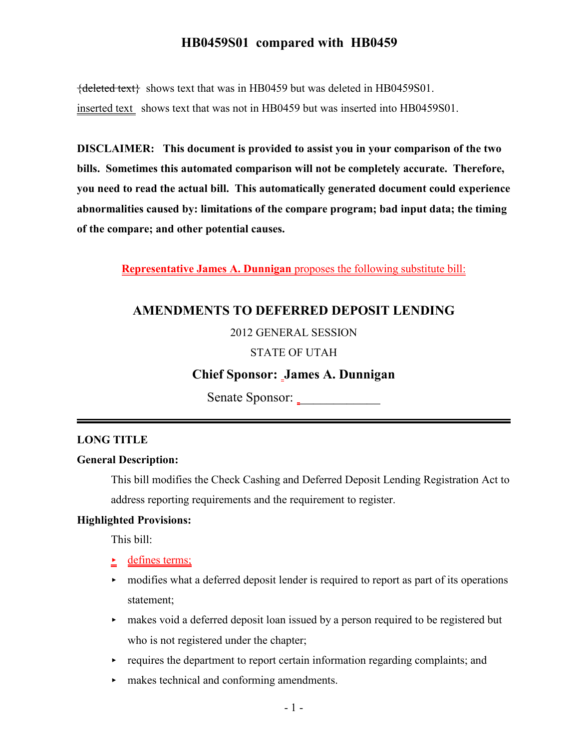${deleted text}$  shows text that was in HB0459 but was deleted in HB0459S01. inserted text shows text that was not in HB0459 but was inserted into HB0459S01.

**DISCLAIMER: This document is provided to assist you in your comparison of the two bills. Sometimes this automated comparison will not be completely accurate. Therefore, you need to read the actual bill. This automatically generated document could experience abnormalities caused by: limitations of the compare program; bad input data; the timing of the compare; and other potential causes.**

**Representative James A. Dunnigan** proposes the following substitute bill:

# **AMENDMENTS TO DEFERRED DEPOSIT LENDING**

#### 2012 GENERAL SESSION

## STATE OF UTAH

## **Chief Sponsor: James A. Dunnigan**

Senate Sponsor: \_

## **LONG TITLE**

#### **General Description:**

This bill modifies the Check Cashing and Deferred Deposit Lending Registration Act to address reporting requirements and the requirement to register.

#### **Highlighted Provisions:**

This bill:

- $\triangle$  defines terms;
- modifies what a deferred deposit lender is required to report as part of its operations statement;
- $\rightarrow$  makes void a deferred deposit loan issued by a person required to be registered but who is not registered under the chapter;
- $\rightarrow$  requires the department to report certain information regarding complaints; and
- < makes technical and conforming amendments.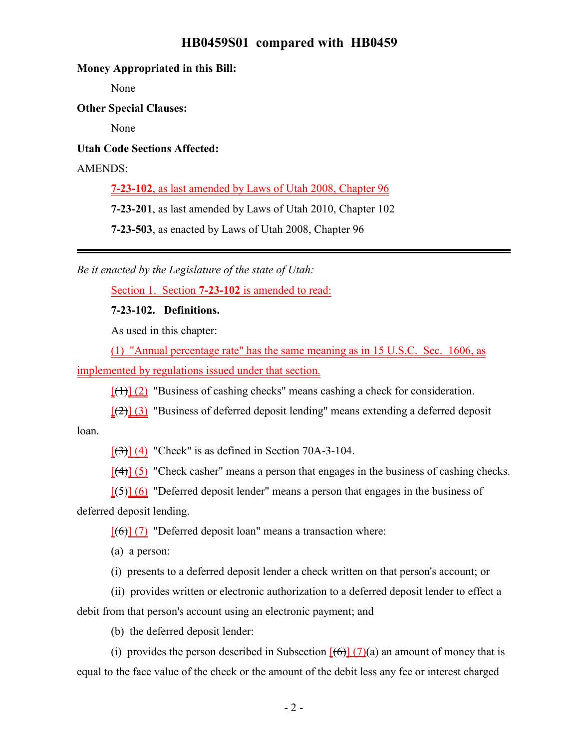#### **Money Appropriated in this Bill:**

None

**Other Special Clauses:**

None

**Utah Code Sections Affected:**

AMENDS:

**7-23-102**, as last amended by Laws of Utah 2008, Chapter 96

**7-23-201**, as last amended by Laws of Utah 2010, Chapter 102

**7-23-503**, as enacted by Laws of Utah 2008, Chapter 96

*Be it enacted by the Legislature of the state of Utah:*

Section 1. Section **7-23-102** is amended to read:

**7-23-102. Definitions.**

As used in this chapter:

(1) "Annual percentage rate" has the same meaning as in 15 U.S.C. Sec. 1606, as

implemented by regulations issued under that section.

 $[$ (1)] (2) "Business of cashing checks" means cashing a check for consideration.

 $\left[\frac{1}{2}\right]$  (3) "Business of deferred deposit lending" means extending a deferred deposit

loan.

 $[\frac{(3)}{(4)}]$  "Check" is as defined in Section 70A-3-104.

 $[(4)] (5)$  "Check casher" means a person that engages in the business of cashing checks.

 $[\frac{15}{6}]$  (6) "Deferred deposit lender" means a person that engages in the business of

deferred deposit lending.

 $[(6)]$  (7) "Deferred deposit loan" means a transaction where:

(a) a person:

(i) presents to a deferred deposit lender a check written on that person's account; or

(ii) provides written or electronic authorization to a deferred deposit lender to effect a debit from that person's account using an electronic payment; and

(b) the deferred deposit lender:

(i) provides the person described in Subsection  $[(6)] (7)(a)$  an amount of money that is equal to the face value of the check or the amount of the debit less any fee or interest charged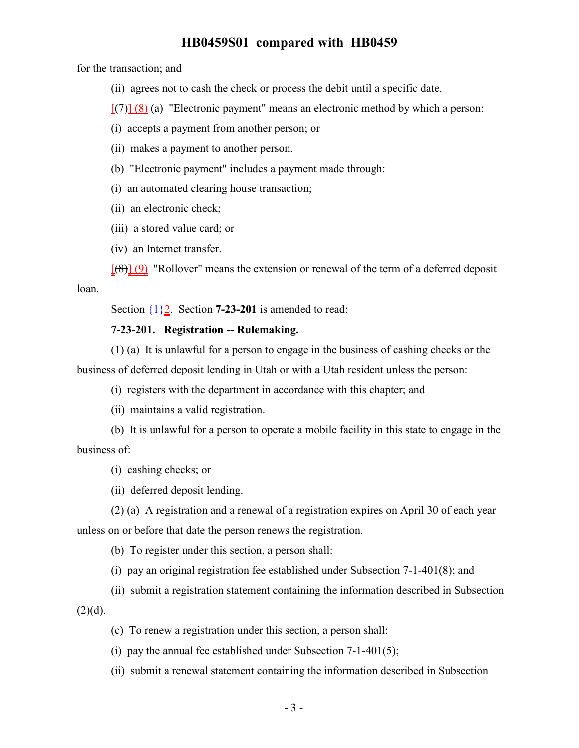for the transaction; and

(ii) agrees not to cash the check or process the debit until a specific date.

 $[\overline{(7)}](8)$  (a) "Electronic payment" means an electronic method by which a person:

(i) accepts a payment from another person; or

(ii) makes a payment to another person.

(b) "Electronic payment" includes a payment made through:

(i) an automated clearing house transaction;

(ii) an electronic check;

(iii) a stored value card; or

(iv) an Internet transfer.

 $[68]$  (9) "Rollover" means the extension or renewal of the term of a deferred deposit loan.

Section  $\frac{1}{2}$ . Section **7-23-201** is amended to read:

#### **7-23-201. Registration -- Rulemaking.**

(1) (a) It is unlawful for a person to engage in the business of cashing checks or the business of deferred deposit lending in Utah or with a Utah resident unless the person:

(i) registers with the department in accordance with this chapter; and

(ii) maintains a valid registration.

(b) It is unlawful for a person to operate a mobile facility in this state to engage in the business of:

(i) cashing checks; or

(ii) deferred deposit lending.

(2) (a) A registration and a renewal of a registration expires on April 30 of each year

unless on or before that date the person renews the registration.

(b) To register under this section, a person shall:

(i) pay an original registration fee established under Subsection 7-1-401(8); and

(ii) submit a registration statement containing the information described in Subsection  $(2)(d)$ .

(c) To renew a registration under this section, a person shall:

(i) pay the annual fee established under Subsection  $7-1-401(5)$ ;

(ii) submit a renewal statement containing the information described in Subsection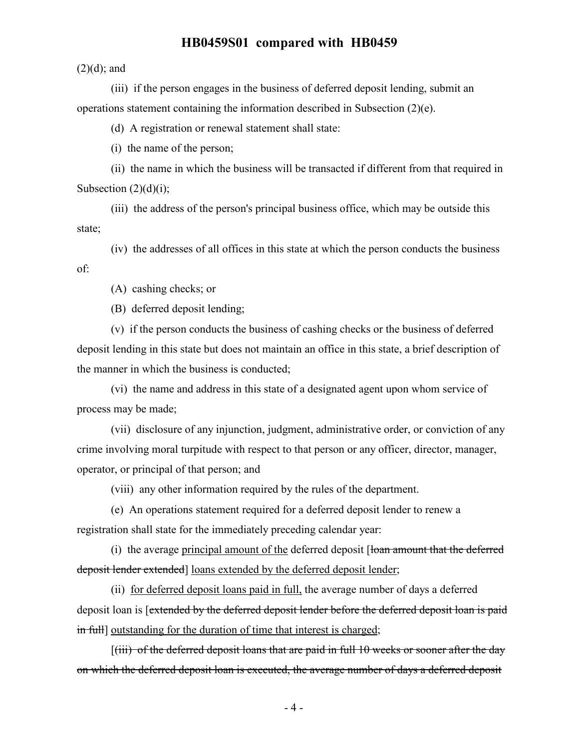$(2)(d)$ ; and

(iii) if the person engages in the business of deferred deposit lending, submit an operations statement containing the information described in Subsection (2)(e).

(d) A registration or renewal statement shall state:

(i) the name of the person;

(ii) the name in which the business will be transacted if different from that required in Subsection  $(2)(d)(i)$ ;

(iii) the address of the person's principal business office, which may be outside this state;

(iv) the addresses of all offices in this state at which the person conducts the business of:

(A) cashing checks; or

(B) deferred deposit lending;

(v) if the person conducts the business of cashing checks or the business of deferred deposit lending in this state but does not maintain an office in this state, a brief description of the manner in which the business is conducted;

(vi) the name and address in this state of a designated agent upon whom service of process may be made;

(vii) disclosure of any injunction, judgment, administrative order, or conviction of any crime involving moral turpitude with respect to that person or any officer, director, manager, operator, or principal of that person; and

(viii) any other information required by the rules of the department.

(e) An operations statement required for a deferred deposit lender to renew a registration shall state for the immediately preceding calendar year:

(i) the average principal amount of the deferred deposit [loan amount that the deferred deposit lender extended] loans extended by the deferred deposit lender;

(ii) for deferred deposit loans paid in full, the average number of days a deferred deposit loan is [extended by the deferred deposit lender before the deferred deposit loan is paid in full outstanding for the duration of time that interest is charged;

 $[(iii)$  of the deferred deposit loans that are paid in full 10 weeks or sooner after the day on which the deferred deposit loan is executed, the average number of days a deferred deposit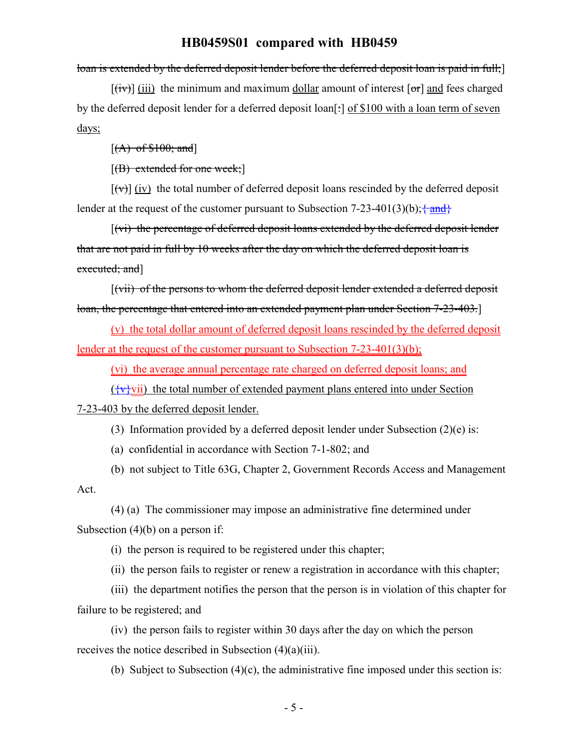loan is extended by the deferred deposit lender before the deferred deposit loan is paid in full;

 $[(iv)]$  (iii) the minimum and maximum dollar amount of interest  $[or]$  and fees charged by the deferred deposit lender for a deferred deposit loan[:] of \$100 with a loan term of seven days;

 $[(A)$  of \$100; and]

 $[(B)$  extended for one week;

 $[(\forall)]$  (iv) the total number of deferred deposit loans rescinded by the deferred deposit lender at the request of the customer pursuant to Subsection 7-23-401(3)(b);  $\frac{1}{2}$  and  $\frac{1}{2}$ 

[(vi) the percentage of deferred deposit loans extended by the deferred deposit lender that are not paid in full by 10 weeks after the day on which the deferred deposit loan is executed; and]

[(vii) of the persons to whom the deferred deposit lender extended a deferred deposit loan, the percentage that entered into an extended payment plan under Section 7-23-403.]

(v) the total dollar amount of deferred deposit loans rescinded by the deferred deposit lender at the request of the customer pursuant to Subsection 7-23-401(3)(b);

(vi) the average annual percentage rate charged on deferred deposit loans; and

 $({\overline{\mathbf{v}}}\cdot\mathbf{v}$  the total number of extended payment plans entered into under Section

7-23-403 by the deferred deposit lender.

(3) Information provided by a deferred deposit lender under Subsection (2)(e) is:

(a) confidential in accordance with Section 7-1-802; and

(b) not subject to Title 63G, Chapter 2, Government Records Access and Management Act.

(4) (a) The commissioner may impose an administrative fine determined under Subsection (4)(b) on a person if:

(i) the person is required to be registered under this chapter;

(ii) the person fails to register or renew a registration in accordance with this chapter;

(iii) the department notifies the person that the person is in violation of this chapter for failure to be registered; and

(iv) the person fails to register within 30 days after the day on which the person receives the notice described in Subsection (4)(a)(iii).

(b) Subject to Subsection (4)(c), the administrative fine imposed under this section is: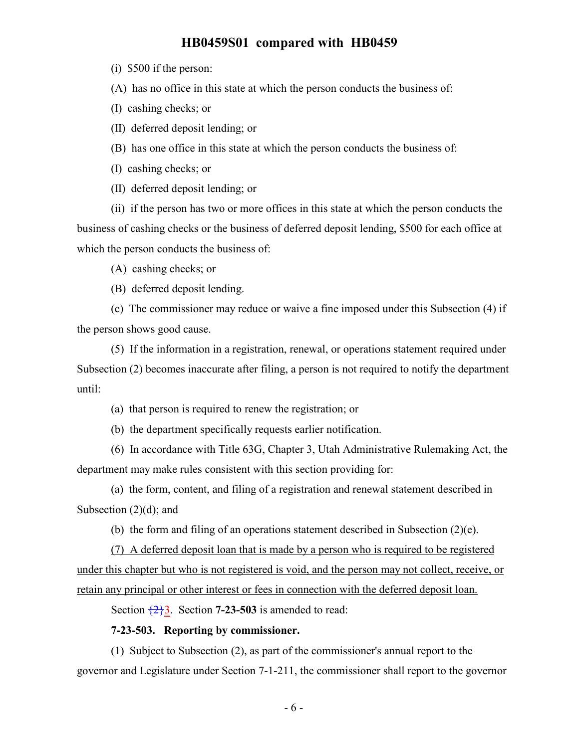(i) \$500 if the person:

(A) has no office in this state at which the person conducts the business of:

(I) cashing checks; or

(II) deferred deposit lending; or

(B) has one office in this state at which the person conducts the business of:

(I) cashing checks; or

(II) deferred deposit lending; or

(ii) if the person has two or more offices in this state at which the person conducts the business of cashing checks or the business of deferred deposit lending, \$500 for each office at which the person conducts the business of:

(A) cashing checks; or

(B) deferred deposit lending.

(c) The commissioner may reduce or waive a fine imposed under this Subsection (4) if the person shows good cause.

(5) If the information in a registration, renewal, or operations statement required under Subsection (2) becomes inaccurate after filing, a person is not required to notify the department until:

(a) that person is required to renew the registration; or

(b) the department specifically requests earlier notification.

(6) In accordance with Title 63G, Chapter 3, Utah Administrative Rulemaking Act, the department may make rules consistent with this section providing for:

(a) the form, content, and filing of a registration and renewal statement described in Subsection  $(2)(d)$ ; and

(b) the form and filing of an operations statement described in Subsection (2)(e).

(7) A deferred deposit loan that is made by a person who is required to be registered under this chapter but who is not registered is void, and the person may not collect, receive, or retain any principal or other interest or fees in connection with the deferred deposit loan.

Section  $\overline{2}$ , Section **7-23-503** is amended to read:

#### **7-23-503. Reporting by commissioner.**

(1) Subject to Subsection (2), as part of the commissioner's annual report to the governor and Legislature under Section 7-1-211, the commissioner shall report to the governor